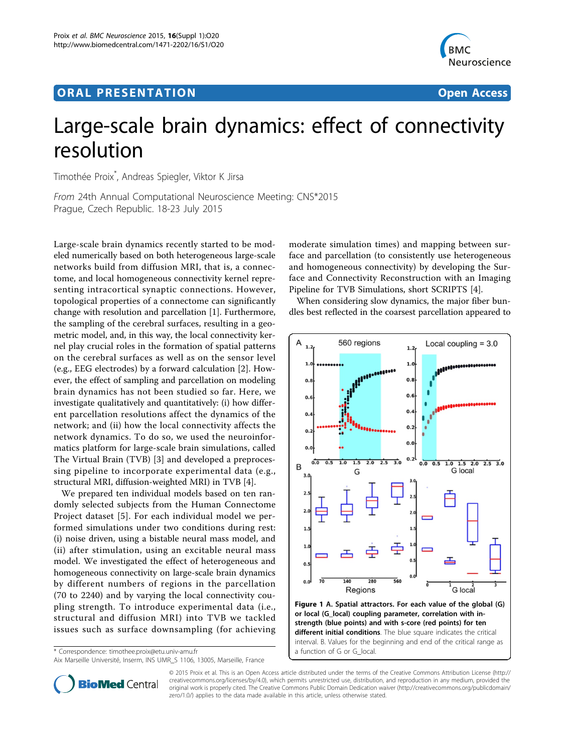# ORA L PR E S EN TA TION OPEN ACCESS OF THE SERVICE OF THE SERVICE OF THE SERVICE OF THE SERVICE OF THE SERVICE



# Large-scale brain dynamics: effect of connectivity resolution

Timothée Proix\* , Andreas Spiegler, Viktor K Jirsa

From 24th Annual Computational Neuroscience Meeting: CNS\*2015 Prague, Czech Republic. 18-23 July 2015

Large-scale brain dynamics recently started to be modeled numerically based on both heterogeneous large-scale networks build from diffusion MRI, that is, a connectome, and local homogeneous connectivity kernel representing intracortical synaptic connections. However, topological properties of a connectome can significantly change with resolution and parcellation [[1\]](#page-1-0). Furthermore, the sampling of the cerebral surfaces, resulting in a geometric model, and, in this way, the local connectivity kernel play crucial roles in the formation of spatial patterns on the cerebral surfaces as well as on the sensor level (e.g., EEG electrodes) by a forward calculation [[2\]](#page-1-0). However, the effect of sampling and parcellation on modeling brain dynamics has not been studied so far. Here, we investigate qualitatively and quantitatively: (i) how different parcellation resolutions affect the dynamics of the network; and (ii) how the local connectivity affects the network dynamics. To do so, we used the neuroinformatics platform for large-scale brain simulations, called The Virtual Brain (TVB) [[3](#page-1-0)] and developed a preprocessing pipeline to incorporate experimental data (e.g., structural MRI, diffusion-weighted MRI) in TVB [[4\]](#page-1-0).

We prepared ten individual models based on ten randomly selected subjects from the Human Connectome Project dataset [[5](#page-1-0)]. For each individual model we performed simulations under two conditions during rest: (i) noise driven, using a bistable neural mass model, and (ii) after stimulation, using an excitable neural mass model. We investigated the effect of heterogeneous and homogeneous connectivity on large-scale brain dynamics by different numbers of regions in the parcellation (70 to 2240) and by varying the local connectivity coupling strength. To introduce experimental data (i.e., structural and diffusion MRI) into TVB we tackled issues such as surface downsampling (for achieving

\* Correspondence: [timothee.proix@etu.univ-amu.fr](mailto:timothee.proix@etu.univ-amu.fr)

Aix Marseille Université, Inserm, INS UMR\_S 1106, 13005, Marseille, France

moderate simulation times) and mapping between surface and parcellation (to consistently use heterogeneous and homogeneous connectivity) by developing the Surface and Connectivity Reconstruction with an Imaging Pipeline for TVB Simulations, short SCRIPTS [\[4](#page-1-0)].

When considering slow dynamics, the major fiber bundles best reflected in the coarsest parcellation appeared to





© 2015 Proix et al. This is an Open Access article distributed under the terms of the Creative Commons Attribution License [\(http://](http://creativecommons.org/licenses/by/4.0) [creativecommons.org/licenses/by/4.0](http://creativecommons.org/licenses/by/4.0)), which permits unrestricted use, distribution, and reproduction in any medium, provided the original work is properly cited. The Creative Commons Public Domain Dedication waiver ([http://creativecommons.org/publicdomain/](http://creativecommons.org/publicdomain/zero/1.0/) [zero/1.0/](http://creativecommons.org/publicdomain/zero/1.0/)) applies to the data made available in this article, unless otherwise stated.